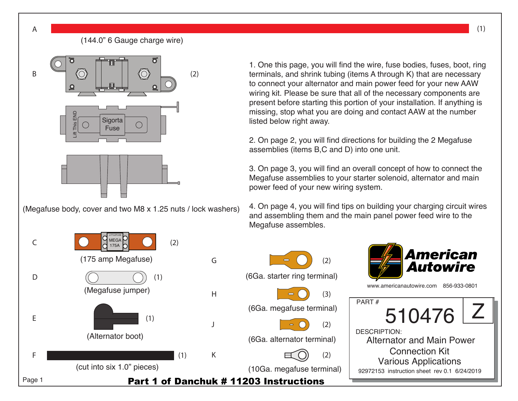

1. One this page, you will find the wire, fuse bodies, fuses, boot, ring terminals, and shrink tubing (items A through K) that are necessary to connect your alternator and main power feed for your new AAW wiring kit. Please be sure that all of the necessary components are present before starting this portion of your installation. If anything is missing, stop what you are doing and contact AAW at the number listed below right away.

2. On page 2, you will find directions for building the 2 Megafuse assemblies (items B,C and D) into one unit.

3. On page 3, you will find an overall concept of how to connect the Megafuse assemblies to your starter solenoid, alternator and main power feed of your new wiring system.

4. On page 4, you will find tips on building your charging circuit wires and assembling them and the main panel power feed wire to the Megafuse assembles.



Page 1

E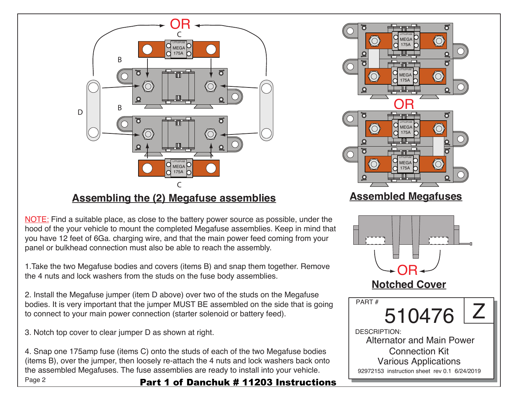

## **Assembling the (2) Megafuse assemblies**

NOTE: Find a suitable place, as close to the battery power source as possible, under the hood of the your vehicle to mount the completed Megafuse assemblies. Keep in mind that you have 12 feet of 6Ga. charging wire, and that the main power feed coming from your panel or bulkhead connection must also be able to reach the assembly.

1.Take the two Megafuse bodies and covers (items B) and snap them together. Remove the 4 nuts and lock washers from the studs on the fuse body assemblies.

2. Install the Megafuse jumper (item D above) over two of the studs on the Megafuse bodies. It is very important that the jumper MUST BE assembled on the side that is going to connect to your main power connection (starter solenoid or battery feed).

3. Notch top cover to clear jumper D as shown at right.

Page 2 4. Snap one 175amp fuse (items C) onto the studs of each of the two Megafuse bodies (items B), over the jumper, then loosely re-attach the 4 nuts and lock washers back onto the assembled Megafuses. The fuse assemblies are ready to install into your vehicle.

Part 1 of Danchuk # 11203 Instructions

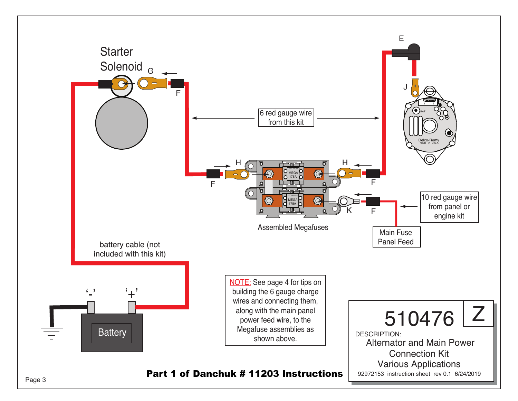